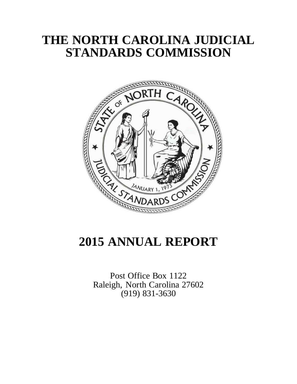# **THE NORTH CAROLINA JUDICIAL STANDARDS COMMISSION**



# **2015 ANNUAL REPORT**

Post Office Box 1122 Raleigh, North Carolina 27602 (919) 831-3630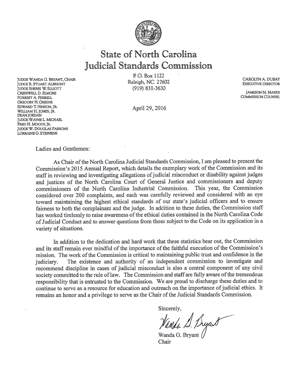

# State of North Carolina Judicial Standards Commission

JUDGE WANDA G. BRYANT, CHAIR **JUDGE R. STUART ALBRIGHT JUDGE SHERRI W. ELLIOTT** CRESSWELL D. ELMORE **FORREST A. FERRELL GREGORY H. GREENE** EDWARD T. HINSON, IR. WILLIAM H. JONES, JR. DEAN JORDAN **JUDGE WAYNE L. MICHAEL** FRED H. MOODY, JR. **JUDGE W. DOUGLAS PARSONS** LORRAINE G. STEPHENS

P.O. Box 1122 Raleigh, NC 27602 (919) 831-3630

April 29, 2016

CAROLYN A. DUBAY **EXECUTIVE DIRECTOR** 

**JAMESON M. MARKS COMMISSION COUNSEL** 

#### Ladies and Gentlemen:

As Chair of the North Carolina Judicial Standards Commission, I am pleased to present the Commission's 2015 Annual Report, which details the exemplary work of the Commission and its staff in reviewing and investigating allegations of judicial misconduct or disability against judges and justices of the North Carolina Court of General Justice and commissioners and deputy commissioners of the North Carolina Industrial Commission. This year, the Commission considered over 200 complaints, and each was carefully reviewed and considered with an eye toward maintaining the highest ethical standards of our state's judicial officers and to ensure fairness to both the complainant and the judge. In addition to these duties, the Commission staff has worked tirelessly to raise awareness of the ethical duties contained in the North Carolina Code of Judicial Conduct and to answer questions from those subject to the Code on its application in a variety of situations.

In addition to the dedication and hard work that these statistics bear out, the Commission and its staff remain ever mindful of the importance of the faithful execution of the Commission's mission. The work of the Commission is critical to maintaining public trust and confidence in the The existence and authority of an independent commission to investigate and judiciary. recommend discipline in cases of judicial misconduct is also a central component of any civil society committed to the rule of law. The Commission and staff are fully aware of the tremendous responsibility that is entrusted to the Commission. We are proud to discharge these duties and to continue to serve as a resource for education and outreach on the importance of judicial ethics. It remains an honor and a privilege to serve as the Chair of the Judicial Standards Commission.

Sincerely,

Wanda L. Byand

Chair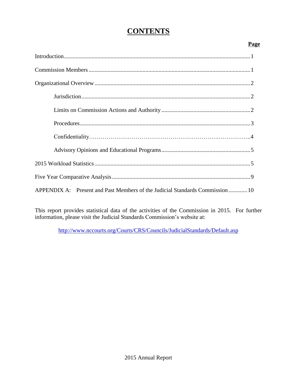# **CONTENTS**

# **Page**

| APPENDIX A: Present and Past Members of the Judicial Standards Commission 10 |
|------------------------------------------------------------------------------|

This report provides statistical data of the activities of the Commission in 2015. For further information, please visit the Judicial Standards Commission's website at:

<http://www.nccourts.org/Courts/CRS/Councils/JudicialStandards/Default.asp>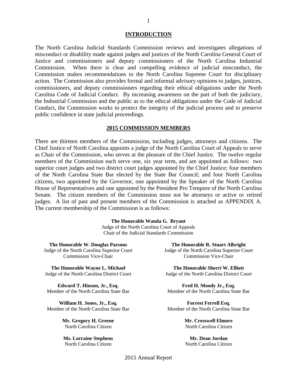#### **INTRODUCTION**

The North Carolina Judicial Standards Commission reviews and investigates allegations of misconduct or disability made against judges and justices of the North Carolina General Court of Justice and commissioners and deputy commissioners of the North Carolina Industrial Commission. When there is clear and compelling evidence of judicial misconduct, the Commission makes recommendations to the North Carolina Supreme Court for disciplinary action. The Commission also provides formal and informal advisory opinions to judges, justices, commissioners, and deputy commissioners regarding their ethical obligations under the North Carolina Code of Judicial Conduct. By increasing awareness on the part of both the judiciary, the Industrial Commission and the public as to the ethical obligations under the Code of Judicial Conduct, the Commission works to protect the integrity of the judicial process and to preserve public confidence in state judicial proceedings.

#### **2015 COMMISSION MEMBERS**

There are thirteen members of the Commission, including judges, attorneys and citizens. The Chief Justice of North Carolina appoints a judge of the North Carolina Court of Appeals to serve as Chair of the Commission, who serves at the pleasure of the Chief Justice. The twelve regular members of the Commission each serve one, six year term, and are appointed as follows: two superior court judges and two district court judges appointed by the Chief Justice; four members of the North Carolina State Bar elected by the State Bar Council; and four North Carolina citizens, two appointed by the Governor, one appointed by the Speaker of the North Carolina House of Representatives and one appointed by the President Pro Tempore of the North Carolina Senate. The citizen members of the Commission must not be attorneys or active or retired judges. A list of past and present members of the Commission is attached as APPENDIX A. The current membership of the Commission is as follows:

#### **The Honorable Wanda G. Bryant**

Judge of the North Carolina Court of Appeals Chair of the Judicial Standards Commission

**The Honorable W. Douglas Parsons** Judge of the North Carolina Superior Court Commission Vice-Chair

**The Honorable Wayne L. Michael** Judge of the North Carolina District Court

**Edward T. Hinson, Jr., Esq.** Member of the North Carolina State Bar

**William H. Jones, Jr., Esq.** Member of the North Carolina State Bar

> **Mr. Gregory H. Greene** North Carolina Citizen

**Ms. Lorraine Stephens** North Carolina Citizen

**The Honorable R. Stuart Albright** Judge of the North Carolina Superior Court Commission Vice-Chair

**The Honorable Sherri W. Elliott** Judge of the North Carolina District Court

**Fred H. Moody Jr., Esq.** Member of the North Carolina State Bar

**Forrest Ferrell Esq.** Member of the North Carolina State Bar

> **Mr. Cresswell Elmore** North Carolina Citizen

> **Mr. Dean Jordan** North Carolina Citizen

2015 Annual Report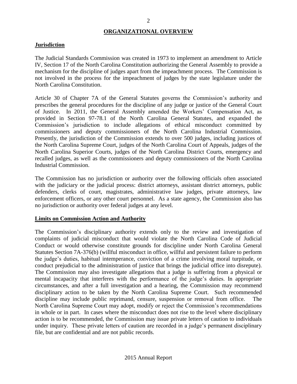# **ORGANIZATIONAL OVERVIEW**

# **Jurisdiction**

The Judicial Standards Commission was created in 1973 to implement an amendment to Article IV, Section 17 of the North Carolina Constitution authorizing the General Assembly to provide a mechanism for the discipline of judges apart from the impeachment process. The Commission is not involved in the process for the impeachment of judges by the state legislature under the North Carolina Constitution.

Article 30 of Chapter 7A of the General Statutes governs the Commission's authority and prescribes the general procedures for the discipline of any judge or justice of the General Court of Justice. In 2011, the General Assembly amended the Workers' Compensation Act, as provided in Section 97-78.1 of the North Carolina General Statutes, and expanded the Commission's jurisdiction to include allegations of ethical misconduct committed by commissioners and deputy commissioners of the North Carolina Industrial Commission. Presently, the jurisdiction of the Commission extends to over 500 judges, including justices of the North Carolina Supreme Court, judges of the North Carolina Court of Appeals, judges of the North Carolina Superior Courts, judges of the North Carolina District Courts, emergency and recalled judges, as well as the commissioners and deputy commissioners of the North Carolina Industrial Commission.

The Commission has no jurisdiction or authority over the following officials often associated with the judiciary or the judicial process: district attorneys, assistant district attorneys, public defenders, clerks of court, magistrates, administrative law judges, private attorneys, law enforcement officers, or any other court personnel. As a state agency, the Commission also has no jurisdiction or authority over federal judges at any level.

# **Limits on Commission Action and Authority**

The Commission's disciplinary authority extends only to the review and investigation of complaints of judicial misconduct that would violate the North Carolina Code of Judicial Conduct or would otherwise constitute grounds for discipline under North Carolina General Statutes Section 7A-376(b) (willful misconduct in office, willful and persistent failure to perform the judge's duties, habitual intemperance, conviction of a crime involving moral turpitude, or conduct prejudicial to the administration of justice that brings the judicial office into disrepute). The Commission may also investigate allegations that a judge is suffering from a physical or mental incapacity that interferes with the performance of the judge's duties. In appropriate circumstances, and after a full investigation and a hearing, the Commission may recommend disciplinary action to be taken by the North Carolina Supreme Court. Such recommended discipline may include public reprimand, censure, suspension or removal from office. The North Carolina Supreme Court may adopt, modify or reject the Commission's recommendations in whole or in part. In cases where the misconduct does not rise to the level where disciplinary action is to be recommended, the Commission may issue private letters of caution to individuals under inquiry. These private letters of caution are recorded in a judge's permanent disciplinary file, but are confidential and are not public records.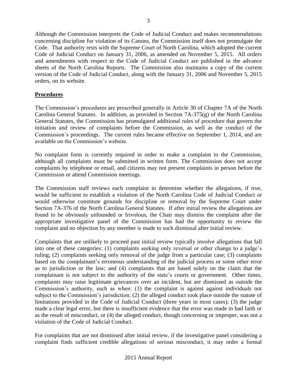Although the Commission interprets the Code of Judicial Conduct and makes recommendations concerning discipline for violation of its Canons, the Commission itself does not promulgate the Code. That authority rests with the Supreme Court of North Carolina, which adopted the current Code of Judicial Conduct on January 31, 2006, as amended on November 5, 2015. All orders and amendments with respect to the Code of Judicial Conduct are published in the advance sheets of the North Carolina Reports. The Commission also maintains a copy of the current version of the Code of Judicial Conduct, along with the January 31, 2006 and November 5, 2015 orders, on its website.

# **Procedures**

The Commission's procedures are prescribed generally in Article 30 of Chapter 7A of the North Carolina General Statutes. In addition, as provided in Section 7A-375(g) of the North Carolina General Statutes, the Commission has promulgated additional rules of procedure that govern the initiation and review of complaints before the Commission, as well as the conduct of the Commission's proceedings. The current rules became effective on September 1, 2014, and are available on the Commission's website.

No complaint form is currently required in order to make a complaint to the Commission, although all complaints must be submitted in written form. The Commission does not accept complaints by telephone or email, and citizens may not present complaints in person before the Commission or attend Commission meetings.

The Commission staff reviews each complaint to determine whether the allegations, if true, would be sufficient to establish a violation of the North Carolina Code of Judicial Conduct or would otherwise constitute grounds for discipline or removal by the Supreme Court under Section 7A-376 of the North Carolina General Statutes. If after initial review the allegations are found to be obviously unfounded or frivolous, the Chair may dismiss the complaint after the appropriate investigative panel of the Commission has had the opportunity to review the complaint and no objection by any member is made to such dismissal after initial review.

Complaints that are unlikely to proceed past initial review typically involve allegations that fall into one of these categories: (1) complaints seeking only reversal or other change to a judge's ruling; (2) complaints seeking only removal of the judge from a particular case; (3) complaints based on the complainant's erroneous understanding of the judicial process or some other error as to jurisdiction or the law; and (4) complaints that are based solely on the claim that the complainant is not subject to the authority of the state's courts or government. Other times, complaints may raise legitimate grievances over an incident, but are dismissed as outside the Commission's authority, such as when: (1) the complaint is against against individuals not subject to the Commission's jurisdiction; (2) the alleged conduct took place outside the statute of limitations provided in the Code of Judicial Conduct (three years in most cases); (3) the judge made a clear legal error, but there is insufficient evidence that the error was made in bad faith or as the result of misconduct, or (4) the alleged conduct, though concerning or improper, was not a violation of the Code of Judicial Conduct.

For complaints that are not dismissed after initial review, if the investigative panel considering a complaint finds sufficient credible allegations of serious misconduct, it may order a formal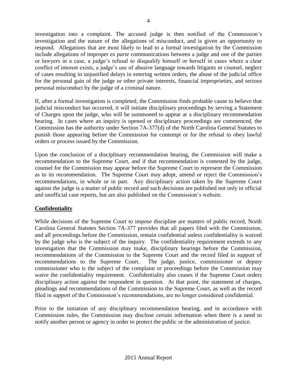investigation into a complaint. The accused judge is then notified of the Commission's investigation and the nature of the allegations of misconduct, and is given an opportunity to respond. Allegations that are most likely to lead to a formal investigation by the Commission include allegations of improper *ex parte* communications between a judge and one of the parties or lawyers in a case, a judge's refusal to disqualify himself or herself in cases where a clear conflict of interest exists, a judge's use of abusive language towards litigants or counsel, neglect of cases resulting in unjustified delays in entering written orders, the abuse of the judicial office for the personal gain of the judge or other private interests, financial improprieties, and serious personal misconduct by the judge of a criminal nature.

If, after a formal investigation is completed, the Commission finds probable cause to believe that judicial misconduct has occurred, it will initiate disciplinary proceedings by serving a Statement of Charges upon the judge, who will be summoned to appear at a disciplinary recommendation hearing. In cases where an inquiry is opened or disciplinary proceedings are commenced, the Commission has the authority under Section 7A-377(d) of the North Carolina General Statutes to punish those appearing before the Commission for contempt or for the refusal to obey lawful orders or process issued by the Commission.

Upon the conclusion of a disciplinary recommendation hearing, the Commission will make a recommendation to the Supreme Court, and if that recommendation is contested by the judge, counsel for the Commission may appear before the Supreme Court to represent the Commission as to its recommendation. The Supreme Court may adopt, amend or reject the Commission's recommendations, in whole or in part. Any disciplinary action taken by the Supreme Court against the judge is a matter of public record and such decisions are published not only in official and unofficial case reports, but are also published on the Commission's website.

# **Confidentiality**

While decisions of the Supreme Court to impose discipline are matters of public record, North Carolina General Statutes Section 7A-377 provides that all papers filed with the Commission, and all proceedings before the Commission, remain confidential unless confidentiality is waived by the judge who is the subject of the inquiry. The confidentiality requirement extends to any investigation that the Commission may make, disciplinary hearings before the Commission, recommendations of the Commission to the Supreme Court and the record filed in support of recommendations to the Supreme Court. The judge, justice, commissioner or deputy commissioner who is the subject of the complaint or proceedings before the Commission may waive the confidentiality requirement. Confidentiality also ceases if the Supreme Court orders disciplinary action against the respondent in question. At that point, the statement of charges, pleadings and recommendations of the Commission to the Supreme Court, as well as the record filed in support of the Commission's recommendations, are no longer considered confidential.

Prior to the initiation of any disciplinary recommendation hearing, and in accordance with Commission rules, the Commission may disclose certain information when there is a need to notify another person or agency in order to protect the public or the administration of justice.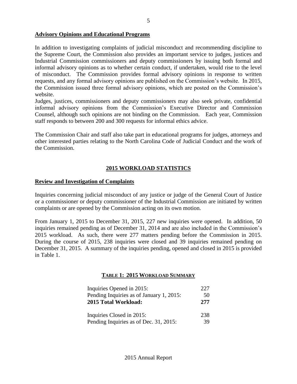# **Advisory Opinions and Educational Programs**

In addition to investigating complaints of judicial misconduct and recommending discipline to the Supreme Court, the Commission also provides an important service to judges, justices and Industrial Commission commissioners and deputy commissioners by issuing both formal and informal advisory opinions as to whether certain conduct, if undertaken, would rise to the level of misconduct. The Commission provides formal advisory opinions in response to written requests, and any formal advisory opinions are published on the Commission's website. In 2015, the Commission issued three formal advisory opinions, which are posted on the Commission's website.

Judges, justices, commissioners and deputy commissioners may also seek private, confidential informal advisory opinions from the Commission's Executive Director and Commission Counsel, although such opinions are not binding on the Commission. Each year, Commission staff responds to between 200 and 300 requests for informal ethics advice.

The Commission Chair and staff also take part in educational programs for judges, attorneys and other interested parties relating to the North Carolina Code of Judicial Conduct and the work of the Commission.

# **2015 WORKLOAD STATISTICS**

#### **Review and Investigation of Complaints**

Inquiries concerning judicial misconduct of any justice or judge of the General Court of Justice or a commissioner or deputy commissioner of the Industrial Commission are initiated by written complaints or are opened by the Commission acting on its own motion.

From January 1, 2015 to December 31, 2015, 227 new inquiries were opened. In addition, 50 inquiries remained pending as of December 31, 2014 and are also included in the Commission's 2015 workload. As such, there were 277 matters pending before the Commission in 2015. During the course of 2015, 238 inquiries were closed and 39 inquiries remained pending on December 31, 2015. A summary of the inquiries pending, opened and closed in 2015 is provided in Table 1.

#### **TABLE 1: 2015 WORKLOAD SUMMARY**

| Inquiries Opened in 2015:                | 227 |
|------------------------------------------|-----|
| Pending Inquiries as of January 1, 2015: | 50  |
| 2015 Total Workload:                     | 277 |
| Inquiries Closed in 2015:                | 238 |
| Pending Inquiries as of Dec. 31, 2015:   | 39  |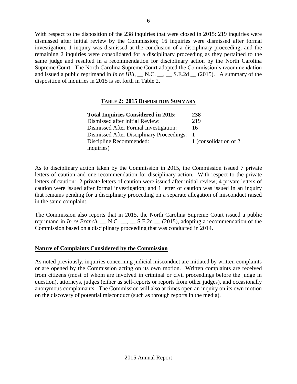With respect to the disposition of the 238 inquiries that were closed in 2015: 219 inquiries were dismissed after initial review by the Commission; 16 inquiries were dismissed after formal investigation; 1 inquiry was dismissed at the conclusion of a disciplinary proceeding; and the remaining 2 inquiries were consolidated for a disciplinary proceeding as they pertained to the same judge and resulted in a recommendation for disciplinary action by the North Carolina Supreme Court. The North Carolina Supreme Court adopted the Commission's recommendation and issued a public reprimand in *In re Hill*, <u>N.C. <sub>\_\_</sub>, \_</u> S.E.2d \_ (2015). A summary of the disposition of inquiries in 2015 is set forth in Table 2.

# **TABLE 2: 2015 DISPOSITION SUMMARY**

| <b>Total Inquiries Considered in 2015:</b>       | 238                    |
|--------------------------------------------------|------------------------|
| Dismissed after Initial Review:                  | 219                    |
| Dismissed After Formal Investigation:            | 16                     |
| <b>Dismissed After Disciplinary Proceedings:</b> |                        |
| Discipline Recommended:                          | 1 (consolidation of 2) |
| inquiries)                                       |                        |

As to disciplinary action taken by the Commission in 2015, the Commission issued 7 private letters of caution and one recommendation for disciplinary action. With respect to the private letters of caution: 2 private letters of caution were issued after initial review; 4 private letters of caution were issued after formal investigation; and 1 letter of caution was issued in an inquiry that remains pending for a disciplinary proceeding on a separate allegation of misconduct raised in the same complaint.

The Commission also reports that in 2015, the North Carolina Supreme Court issued a public reprimand in *In re Branch,* \_\_ N.C. \_\_, \_\_ S.E.2d \_\_ (2015), adopting a recommendation of the Commission based on a disciplinary proceeding that was conducted in 2014.

# **Nature of Complaints Considered by the Commission**

As noted previously, inquiries concerning judicial misconduct are initiated by written complaints or are opened by the Commission acting on its own motion. Written complaints are received from citizens (most of whom are involved in criminal or civil proceedings before the judge in question), attorneys, judges (either as self-reports or reports from other judges), and occasionally anonymous complainants. The Commission will also at times open an inquiry on its own motion on the discovery of potential misconduct (such as through reports in the media).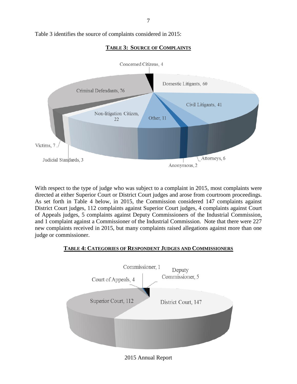7

Table 3 identifies the source of complaints considered in 2015:



**TABLE 3: SOURCE OF COMPLAINTS**

With respect to the type of judge who was subject to a complaint in 2015, most complaints were directed at either Superior Court or District Court judges and arose from courtroom proceedings. As set forth in Table 4 below, in 2015, the Commission considered 147 complaints against District Court judges, 112 complaints against Superior Court judges, 4 complaints against Court of Appeals judges, 5 complaints against Deputy Commissioners of the Industrial Commission, and 1 complaint against a Commissioner of the Industrial Commission. Note that there were 227 new complaints received in 2015, but many complaints raised allegations against more than one judge or commissioner.

# **TABLE 4: CATEGORIES OF RESPONDENT JUDGES AND COMMISSIONERS**



2015 Annual Report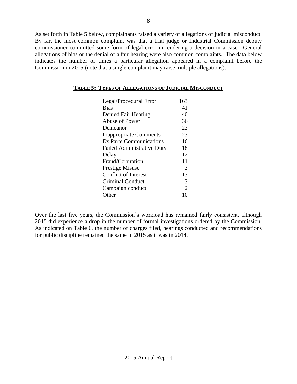As set forth in Table 5 below, complainants raised a variety of allegations of judicial misconduct. By far, the most common complaint was that a trial judge or Industrial Commission deputy commissioner committed some form of legal error in rendering a decision in a case. General allegations of bias or the denial of a fair hearing were also common complaints. The data below indicates the number of times a particular allegation appeared in a complaint before the Commission in 2015 (note that a single complaint may raise multiple allegations):

| Legal/Procedural Error            | 163                   |
|-----------------------------------|-----------------------|
| <b>Bias</b>                       | 41                    |
| Denied Fair Hearing               | 40                    |
| Abuse of Power                    | 36                    |
| Demeanor                          | 23                    |
| <b>Inappropriate Comments</b>     | 23                    |
| <b>Ex Parte Communications</b>    | 16                    |
| <b>Failed Administrative Duty</b> | 18                    |
| Delay                             | 12                    |
| Fraud/Corruption                  | 11                    |
| <b>Prestige Misuse</b>            | 3                     |
| <b>Conflict of Interest</b>       | 13                    |
| Criminal Conduct                  | 3                     |
| Campaign conduct                  | $\mathcal{D}_{\cdot}$ |
| Other                             |                       |

### **TABLE 5: TYPES OF ALLEGATIONS OF JUDICIAL MISCONDUCT**

Over the last five years, the Commission's workload has remained fairly consistent, although 2015 did experience a drop in the number of formal investigations ordered by the Commission. As indicated on Table 6, the number of charges filed, hearings conducted and recommendations for public discipline remained the same in 2015 as it was in 2014.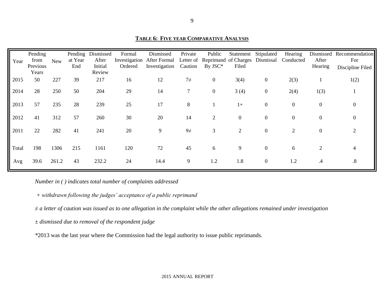**TABLE 6: FIVE YEAR COMPARATIVE ANALYSIS**

| Year  | Pending<br>from   | <b>New</b> | at Year | Pending Dismissed<br>After | Formal  | Dismissed<br>Investigation After Formal | Private        | Public<br>Letter of Reprimand of Charges Dismissal | Statement Stipulated |                  | Hearing<br>Conducted | After            | Dismissed Recommendation<br>For |
|-------|-------------------|------------|---------|----------------------------|---------|-----------------------------------------|----------------|----------------------------------------------------|----------------------|------------------|----------------------|------------------|---------------------------------|
|       | Previous<br>Years |            | End     | Initial<br>Review          | Ordered | Investigation                           | Caution        | $By JSC*$                                          | Filed                |                  |                      | Hearing          | Discipline Filed                |
| 2015  | 50                | 227        | 39      | 217                        | 16      | 12                                      | $7\neq$        | $\overline{0}$                                     | 3(4)                 | $\boldsymbol{0}$ | 2(3)                 |                  | 1(2)                            |
| 2014  | 28                | 250        | 50      | 204                        | 29      | 14                                      | $\overline{7}$ | $\overline{0}$                                     | 3(4)                 | $\boldsymbol{0}$ | 2(4)                 | 1(3)             |                                 |
| 2013  | 57                | 235        | 28      | 239                        | 25      | 17                                      | 8              |                                                    | $1+$                 | $\mathbf{0}$     | $\mathbf{0}$         | $\mathbf{0}$     | $\boldsymbol{0}$                |
| 2012  | 41                | 312        | 57      | 260                        | 30      | 20                                      | 14             | 2                                                  | $\overline{0}$       | $\overline{0}$   | $\mathbf{0}$         | $\boldsymbol{0}$ | $\boldsymbol{0}$                |
| 2011  | 22                | 282        | 41      | 241                        | 20      | 9                                       | $9\neq$        | 3                                                  | $\overline{2}$       | $\overline{0}$   | $\overline{2}$       | $\mathbf{0}$     | 2                               |
| Total | 198               | 1306       | 215     | 1161                       | 120     | 72                                      | 45             | 6                                                  | 9                    | $\mathbf{0}$     | 6                    | $\overline{2}$   | 4                               |
| Avg   | 39.6              | 261.2      | 43      | 232.2                      | 24      | 14.4                                    | 9              | 1.2                                                | 1.8                  | $\boldsymbol{0}$ | 1.2                  | $\cdot$          | $\boldsymbol{.8}$               |

*Number in ( ) indicates total number of complaints addressed*

*+ withdrawn following the judges' acceptance of a public reprimand* 

*≠ a letter of caution was issued as to one allegation in the complaint while the other allegations remained under investigation* 

*± dismissed due to removal of the respondent judge*

*\**2013 was the last year where the Commission had the legal authority to issue public reprimands.